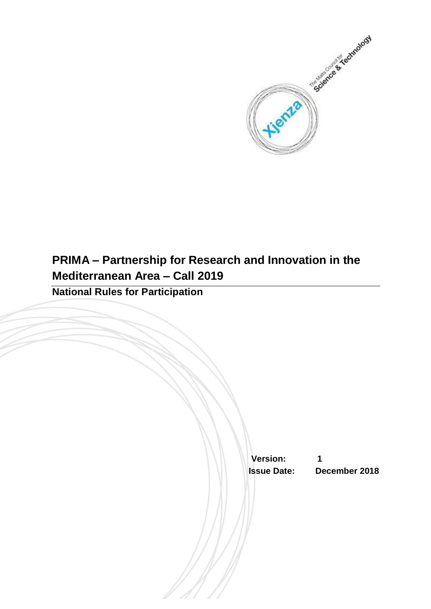

# **PRIMA – Partnership for Research and Innovation in the Mediterranean Area – Call 2019**

**National Rules for Participation**

 **Version: 1 Issue Date: December 2018**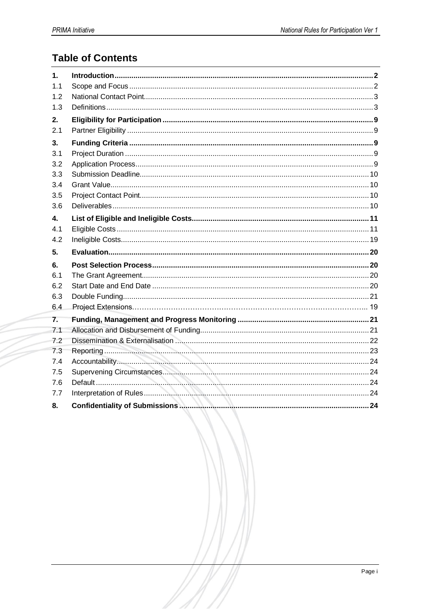## **Table of Contents**

| 1.  |  |
|-----|--|
| 1.1 |  |
| 1.2 |  |
| 1.3 |  |
| 2.  |  |
| 2.1 |  |
| 3.  |  |
| 3.1 |  |
| 3.2 |  |
| 3.3 |  |
| 3.4 |  |
| 3.5 |  |
| 3.6 |  |
| 4.  |  |
| 4.1 |  |
| 4.2 |  |
|     |  |
| 5.  |  |
| 6.  |  |
| 6.1 |  |
| 6.2 |  |
| 6.3 |  |
| 6.4 |  |
| 7.  |  |
| 7.1 |  |
| 7.2 |  |
| 7.3 |  |
| 7.4 |  |
| 7.5 |  |
| 7.6 |  |
| 7.7 |  |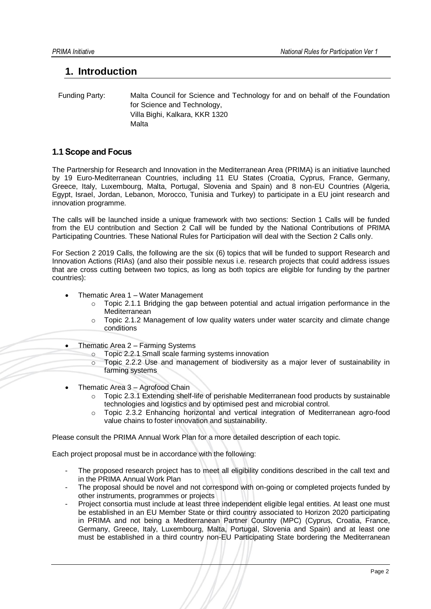## <span id="page-2-0"></span>**1. Introduction**

 Funding Party: Malta Council for Science and Technology for and on behalf of the Foundation for Science and Technology, Villa Bighi, Kalkara, KKR 1320 Malta

## <span id="page-2-1"></span>**1.1 Scope and Focus**

The Partnership for Research and Innovation in the Mediterranean Area (PRIMA) is an initiative launched by 19 Euro-Mediterranean Countries, including 11 EU States (Croatia, Cyprus, France, Germany, Greece, Italy, Luxembourg, Malta, Portugal, Slovenia and Spain) and 8 non-EU Countries (Algeria, Egypt, Israel, Jordan, Lebanon, Morocco, Tunisia and Turkey) to participate in a EU joint research and innovation programme.

The calls will be launched inside a unique framework with two sections: Section 1 Calls will be funded from the EU contribution and Section 2 Call will be funded by the National Contributions of PRIMA Participating Countries. These National Rules for Participation will deal with the Section 2 Calls only.

For Section 2 2019 Calls, the following are the six (6) topics that will be funded to support Research and Innovation Actions (RIAs) (and also their possible nexus i.e. research projects that could address issues that are cross cutting between two topics, as long as both topics are eligible for funding by the partner countries):

- Thematic Area 1 Water Management
	- o Topic 2.1.1 Bridging the gap between potential and actual irrigation performance in the Mediterranean
	- o Topic 2.1.2 Management of low quality waters under water scarcity and climate change conditions
- Thematic Area 2 Farming Systems
	- o Topic 2.2.1 Small scale farming systems innovation
	- o Topic 2.2.2 Use and management of biodiversity as a major lever of sustainability in farming systems
- Thematic Area 3 Agrofood Chain
	- Topic 2.3.1 Extending shelf-life of perishable Mediterranean food products by sustainable technologies and logistics and by optimised pest and microbial control.
	- o Topic 2.3.2 Enhancing horizontal and vertical integration of Mediterranean agro-food value chains to foster innovation and sustainability.

Please consult the PRIMA Annual Work Plan for a more detailed description of each topic.

Each project proposal must be in accordance with the following:

- The proposed research project has to meet all eligibility conditions described in the call text and in the PRIMA Annual Work Plan
- The proposal should be novel and not correspond with on-going or completed projects funded by other instruments, programmes or projects
- Project consortia must include at least three independent eligible legal entities. At least one must be established in an EU Member State or third country associated to Horizon 2020 participating in PRIMA and not being a Mediterranean Partner Country (MPC) (Cyprus, Croatia, France, Germany, Greece, Italy, Luxembourg, Malta, Portugal, Slovenia and Spain) and at least one must be established in a third country non-EU Participating State bordering the Mediterranean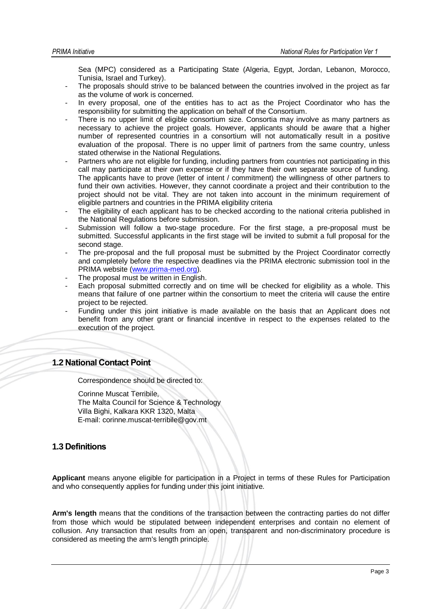Sea (MPC) considered as a Participating State (Algeria, Egypt, Jordan, Lebanon, Morocco, Tunisia, Israel and Turkey).

- The proposals should strive to be balanced between the countries involved in the project as far as the volume of work is concerned.
- In every proposal, one of the entities has to act as the Project Coordinator who has the responsibility for submitting the application on behalf of the Consortium.
- There is no upper limit of eligible consortium size. Consortia may involve as many partners as necessary to achieve the project goals. However, applicants should be aware that a higher number of represented countries in a consortium will not automatically result in a positive evaluation of the proposal. There is no upper limit of partners from the same country, unless stated otherwise in the National Regulations.
- Partners who are not eligible for funding, including partners from countries not participating in this call may participate at their own expense or if they have their own separate source of funding. The applicants have to prove (letter of intent / commitment) the willingness of other partners to fund their own activities. However, they cannot coordinate a project and their contribution to the project should not be vital. They are not taken into account in the minimum requirement of eligible partners and countries in the PRIMA eligibility criteria
- The eligibility of each applicant has to be checked according to the national criteria published in the National Regulations before submission.
- Submission will follow a two-stage procedure. For the first stage, a pre-proposal must be submitted. Successful applicants in the first stage will be invited to submit a full proposal for the second stage.
- The pre-proposal and the full proposal must be submitted by the Project Coordinator correctly and completely before the respective deadlines via the PRIMA electronic submission tool in the PRIMA website [\(www.prima-med.org\)](http://www.prima-med.org/).
- The proposal must be written in English.
- Each proposal submitted correctly and on time will be checked for eligibility as a whole. This means that failure of one partner within the consortium to meet the criteria will cause the entire project to be rejected.
- Funding under this joint initiative is made available on the basis that an Applicant does not benefit from any other grant or financial incentive in respect to the expenses related to the execution of the project.

## <span id="page-3-0"></span>**1.2 National Contact Point**

Correspondence should be directed to:

Corinne Muscat Terribile, The Malta Council for Science & Technology Villa Bighi, Kalkara KKR 1320, Malta E-mail: corinne.muscat-terribile@gov.mt

## <span id="page-3-1"></span>**1.3 Definitions**

**Applicant** means anyone eligible for participation in a Project in terms of these Rules for Participation and who consequently applies for funding under this joint initiative.

**Arm's length** means that the conditions of the transaction between the contracting parties do not differ from those which would be stipulated between independent enterprises and contain no element of collusion. Any transaction that results from an open, transparent and non-discriminatory procedure is considered as meeting the arm's length principle.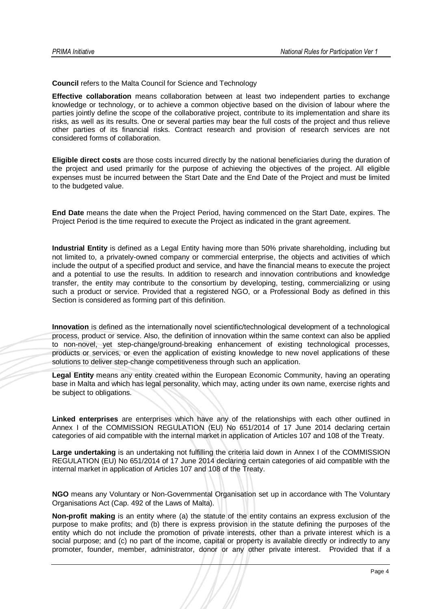**Council** refers to the Malta Council for Science and Technology

**Effective collaboration** means collaboration between at least two independent parties to exchange knowledge or technology, or to achieve a common objective based on the division of labour where the parties jointly define the scope of the collaborative project, contribute to its implementation and share its risks, as well as its results. One or several parties may bear the full costs of the project and thus relieve other parties of its financial risks. Contract research and provision of research services are not considered forms of collaboration.

**Eligible direct costs** are those costs incurred directly by the national beneficiaries during the duration of the project and used primarily for the purpose of achieving the objectives of the project. All eligible expenses must be incurred between the Start Date and the End Date of the Project and must be limited to the budgeted value.

**End Date** means the date when the Project Period, having commenced on the Start Date, expires. The Project Period is the time required to execute the Project as indicated in the grant agreement.

**Industrial Entity** is defined as a Legal Entity having more than 50% private shareholding, including but not limited to, a privately-owned company or commercial enterprise, the objects and activities of which include the output of a specified product and service, and have the financial means to execute the project and a potential to use the results. In addition to research and innovation contributions and knowledge transfer, the entity may contribute to the consortium by developing, testing, commercializing or using such a product or service. Provided that a registered NGO, or a Professional Body as defined in this Section is considered as forming part of this definition.

**Innovation** is defined as the internationally novel scientific/technological development of a technological process, product or service. Also, the definition of innovation within the same context can also be applied to non-novel, yet step-change/ground-breaking enhancement of existing technological processes, products or services, or even the application of existing knowledge to new novel applications of these solutions to deliver step-change competitiveness through such an application.

**Legal Entity** means any entity created within the European Economic Community, having an operating base in Malta and which has legal personality, which may, acting under its own name, exercise rights and be subject to obligations.

**Linked enterprises** are enterprises which have any of the relationships with each other outlined in Annex I of the COMMISSION REGULATION (EU) No 651/2014 of 17 June 2014 declaring certain categories of aid compatible with the internal market in application of Articles 107 and 108 of the Treaty.

**Large undertaking** is an undertaking not fulfilling the criteria laid down in Annex I of the COMMISSION REGULATION (EU) No 651/2014 of 17 June 2014 declaring certain categories of aid compatible with the internal market in application of Articles 107 and 108 of the Treaty.

**NGO** means any Voluntary or Non-Governmental Organisation set up in accordance with The Voluntary Organisations Act (Cap. 492 of the Laws of Malta).

**Non-profit making** is an entity where (a) the statute of the entity contains an express exclusion of the purpose to make profits; and (b) there is express provision in the statute defining the purposes of the entity which do not include the promotion of private interests, other than a private interest which is a social purpose; and (c) no part of the income, capital or property is available directly or indirectly to any promoter, founder, member, administrator, donor or any other private interest. Provided that if a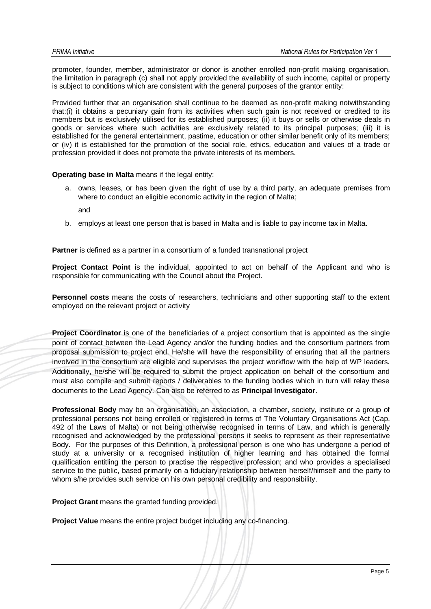promoter, founder, member, administrator or donor is another enrolled non-profit making organisation, the limitation in paragraph (c) shall not apply provided the availability of such income, capital or property is subject to conditions which are consistent with the general purposes of the grantor entity:

Provided further that an organisation shall continue to be deemed as non-profit making notwithstanding that:(i) it obtains a pecuniary gain from its activities when such gain is not received or credited to its members but is exclusively utilised for its established purposes; (ii) it buys or sells or otherwise deals in goods or services where such activities are exclusively related to its principal purposes; (iii) it is established for the general entertainment, pastime, education or other similar benefit only of its members; or (iv) it is established for the promotion of the social role, ethics, education and values of a trade or profession provided it does not promote the private interests of its members.

#### **Operating base in Malta** means if the legal entity:

a. owns, leases, or has been given the right of use by a third party, an adequate premises from where to conduct an eligible economic activity in the region of Malta;

and

b. employs at least one person that is based in Malta and is liable to pay income tax in Malta.

**Partner** is defined as a partner in a consortium of a funded transnational project

**Project Contact Point** is the individual, appointed to act on behalf of the Applicant and who is responsible for communicating with the Council about the Project.

**Personnel costs** means the costs of researchers, technicians and other supporting staff to the extent employed on the relevant project or activity

**Project Coordinator** is one of the beneficiaries of a project consortium that is appointed as the single point of contact between the Lead Agency and/or the funding bodies and the consortium partners from proposal submission to project end. He/she will have the responsibility of ensuring that all the partners involved in the consortium are eligible and supervises the project workflow with the help of WP leaders. Additionally, he/she will be required to submit the project application on behalf of the consortium and must also compile and submit reports / deliverables to the funding bodies which in turn will relay these documents to the Lead Agency. Can also be referred to as **Principal Investigator**.

**Professional Body** may be an organisation, an association, a chamber, society, institute or a group of professional persons not being enrolled or registered in terms of The Voluntary Organisations Act (Cap. 492 of the Laws of Malta) or not being otherwise recognised in terms of Law, and which is generally recognised and acknowledged by the professional persons it seeks to represent as their representative Body. For the purposes of this Definition, a professional person is one who has undergone a period of study at a university or a recognised institution of higher learning and has obtained the formal qualification entitling the person to practise the respective profession; and who provides a specialised service to the public, based primarily on a fiduciary relationship between herself/himself and the party to whom s/he provides such service on his own personal credibility and responsibility.

**Project Grant** means the granted funding provided.

**Project Value** means the entire project budget including any co-financing.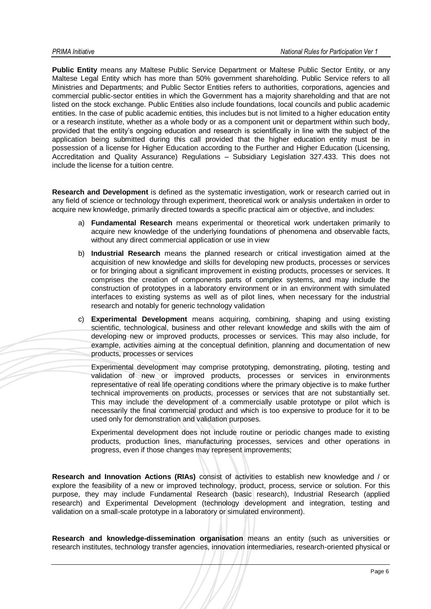**Public Entity** means any Maltese Public Service Department or Maltese Public Sector Entity, or any Maltese Legal Entity which has more than 50% government shareholding. Public Service refers to all Ministries and Departments; and Public Sector Entities refers to authorities, corporations, agencies and commercial public-sector entities in which the Government has a majority shareholding and that are not listed on the stock exchange. Public Entities also include foundations, local councils and public academic entities. In the case of public academic entities, this includes but is not limited to a higher education entity or a research institute, whether as a whole body or as a component unit or department within such body, provided that the entity's ongoing education and research is scientifically in line with the subject of the application being submitted during this call provided that the higher education entity must be in possession of a license for Higher Education according to the Further and Higher Education (Licensing, Accreditation and Quality Assurance) Regulations – Subsidiary Legislation 327.433. This does not include the license for a tuition centre.

**Research and Development** is defined as the systematic investigation, work or research carried out in any field of science or technology through experiment, theoretical work or analysis undertaken in order to acquire new knowledge, primarily directed towards a specific practical aim or objective, and includes:

- a) **Fundamental Research** means experimental or theoretical work undertaken primarily to acquire new knowledge of the underlying foundations of phenomena and observable facts, without any direct commercial application or use in view
- b) **Industrial Research** means the planned research or critical investigation aimed at the acquisition of new knowledge and skills for developing new products, processes or services or for bringing about a significant improvement in existing products, processes or services. It comprises the creation of components parts of complex systems, and may include the construction of prototypes in a laboratory environment or in an environment with simulated interfaces to existing systems as well as of pilot lines, when necessary for the industrial research and notably for generic technology validation
- c) **Experimental Development** means acquiring, combining, shaping and using existing scientific, technological, business and other relevant knowledge and skills with the aim of developing new or improved products, processes or services. This may also include, for example, activities aiming at the conceptual definition, planning and documentation of new products, processes or services

Experimental development may comprise prototyping, demonstrating, piloting, testing and validation of new or improved products, processes or services in environments representative of real life operating conditions where the primary objective is to make further technical improvements on products, processes or services that are not substantially set. This may include the development of a commercially usable prototype or pilot which is necessarily the final commercial product and which is too expensive to produce for it to be used only for demonstration and validation purposes.

Experimental development does not include routine or periodic changes made to existing products, production lines, manufacturing processes, services and other operations in progress, even if those changes may represent improvements;

**Research and Innovation Actions (RIAs)** consist of activities to establish new knowledge and / or explore the feasibility of a new or improved technology, product, process, service or solution. For this purpose, they may include Fundamental Research (basic research), Industrial Research (applied research) and Experimental Development (technology development and integration, testing and validation on a small-scale prototype in a laboratory or simulated environment).

**Research and knowledge-dissemination organisation** means an entity (such as universities or research institutes, technology transfer agencies, innovation intermediaries, research-oriented physical or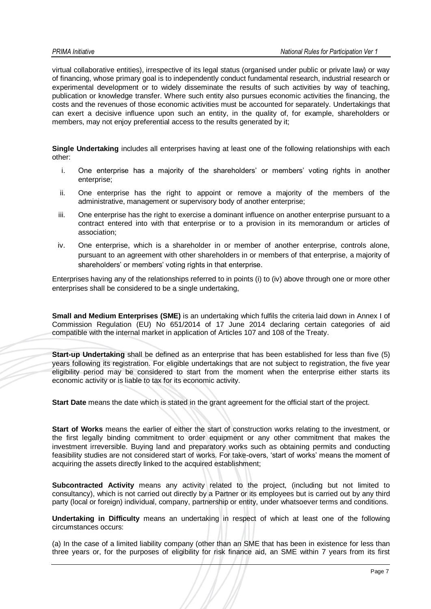virtual collaborative entities), irrespective of its legal status (organised under public or private law) or way of financing, whose primary goal is to independently conduct fundamental research, industrial research or experimental development or to widely disseminate the results of such activities by way of teaching, publication or knowledge transfer. Where such entity also pursues economic activities the financing, the costs and the revenues of those economic activities must be accounted for separately. Undertakings that can exert a decisive influence upon such an entity, in the quality of, for example, shareholders or members, may not enjoy preferential access to the results generated by it;

**Single Undertaking** includes all enterprises having at least one of the following relationships with each other:

- i. One enterprise has a majority of the shareholders' or members' voting rights in another enterprise;
- ii. One enterprise has the right to appoint or remove a majority of the members of the administrative, management or supervisory body of another enterprise;
- iii. One enterprise has the right to exercise a dominant influence on another enterprise pursuant to a contract entered into with that enterprise or to a provision in its memorandum or articles of association;
- iv. One enterprise, which is a shareholder in or member of another enterprise, controls alone, pursuant to an agreement with other shareholders in or members of that enterprise, a majority of shareholders' or members' voting rights in that enterprise.

Enterprises having any of the relationships referred to in points (i) to (iv) above through one or more other enterprises shall be considered to be a single undertaking,

**Small and Medium Enterprises (SME)** is an undertaking which fulfils the criteria laid down in Annex I of Commission Regulation (EU) No 651/2014 of 17 June 2014 declaring certain categories of aid compatible with the internal market in application of Articles 107 and 108 of the Treaty.

**Start-up Undertaking** shall be defined as an enterprise that has been established for less than five (5) years following its registration. For eligible undertakings that are not subject to registration, the five year eligibility period may be considered to start from the moment when the enterprise either starts its economic activity or is liable to tax for its economic activity.

**Start Date** means the date which is stated in the grant agreement for the official start of the project.

**Start of Works** means the earlier of either the start of construction works relating to the investment, or the first legally binding commitment to order equipment or any other commitment that makes the investment irreversible. Buying land and preparatory works such as obtaining permits and conducting feasibility studies are not considered start of works. For take-overs, 'start of works' means the moment of acquiring the assets directly linked to the acquired establishment;

**Subcontracted Activity** means any activity related to the project, (including but not limited to consultancy), which is not carried out directly by a Partner or its employees but is carried out by any third party (local or foreign) individual, company, partnership or entity, under whatsoever terms and conditions.

**Undertaking in Difficulty** means an undertaking in respect of which at least one of the following circumstances occurs:

(a) In the case of a limited liability company (other than an SME that has been in existence for less than three years or, for the purposes of eligibility for risk finance aid, an SME within 7 years from its first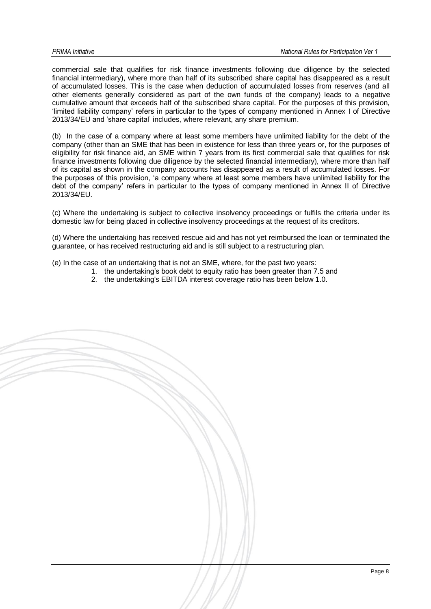commercial sale that qualifies for risk finance investments following due diligence by the selected financial intermediary), where more than half of its subscribed share capital has disappeared as a result of accumulated losses. This is the case when deduction of accumulated losses from reserves (and all other elements generally considered as part of the own funds of the company) leads to a negative cumulative amount that exceeds half of the subscribed share capital. For the purposes of this provision, 'limited liability company' refers in particular to the types of company mentioned in Annex I of Directive 2013/34/EU and 'share capital' includes, where relevant, any share premium.

(b) In the case of a company where at least some members have unlimited liability for the debt of the company (other than an SME that has been in existence for less than three years or, for the purposes of eligibility for risk finance aid, an SME within 7 years from its first commercial sale that qualifies for risk finance investments following due diligence by the selected financial intermediary), where more than half of its capital as shown in the company accounts has disappeared as a result of accumulated losses. For the purposes of this provision, 'a company where at least some members have unlimited liability for the debt of the company' refers in particular to the types of company mentioned in Annex II of Directive 2013/34/EU.

(c) Where the undertaking is subject to collective insolvency proceedings or fulfils the criteria under its domestic law for being placed in collective insolvency proceedings at the request of its creditors.

(d) Where the undertaking has received rescue aid and has not yet reimbursed the loan or terminated the guarantee, or has received restructuring aid and is still subject to a restructuring plan.

(e) In the case of an undertaking that is not an SME, where, for the past two years:

- 1. the undertaking's book debt to equity ratio has been greater than 7.5 and
- 2. the undertaking's EBITDA interest coverage ratio has been below 1.0.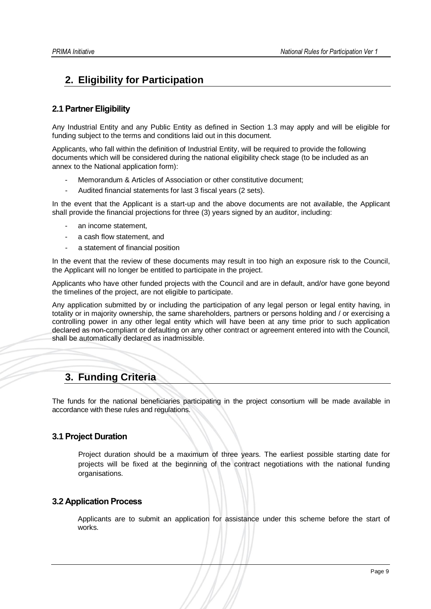## <span id="page-9-0"></span>**2. Eligibility for Participation**

## <span id="page-9-1"></span>**2.1 Partner Eligibility**

Any Industrial Entity and any Public Entity as defined in Section 1.3 may apply and will be eligible for funding subject to the terms and conditions laid out in this document*.*

Applicants, who fall within the definition of Industrial Entity, will be required to provide the following documents which will be considered during the national eligibility check stage (to be included as an annex to the National application form):

- Memorandum & Articles of Association or other constitutive document;
- Audited financial statements for last 3 fiscal years (2 sets).

In the event that the Applicant is a start-up and the above documents are not available, the Applicant shall provide the financial projections for three (3) years signed by an auditor, including:

- an income statement.
- a cash flow statement, and
- a statement of financial position

In the event that the review of these documents may result in too high an exposure risk to the Council, the Applicant will no longer be entitled to participate in the project.

Applicants who have other funded projects with the Council and are in default, and/or have gone beyond the timelines of the project, are not eligible to participate.

Any application submitted by or including the participation of any legal person or legal entity having, in totality or in majority ownership, the same shareholders, partners or persons holding and / or exercising a controlling power in any other legal entity which will have been at any time prior to such application declared as non-compliant or defaulting on any other contract or agreement entered into with the Council, shall be automatically declared as inadmissible.

## <span id="page-9-2"></span>**3. Funding Criteria**

The funds for the national beneficiaries participating in the project consortium will be made available in accordance with these rules and regulations.

## <span id="page-9-3"></span>**3.1 Project Duration**

Project duration should be a maximum of three years. The earliest possible starting date for projects will be fixed at the beginning of the contract negotiations with the national funding organisations.

## <span id="page-9-4"></span>**3.2 Application Process**

Applicants are to submit an application for assistance under this scheme before the start of works.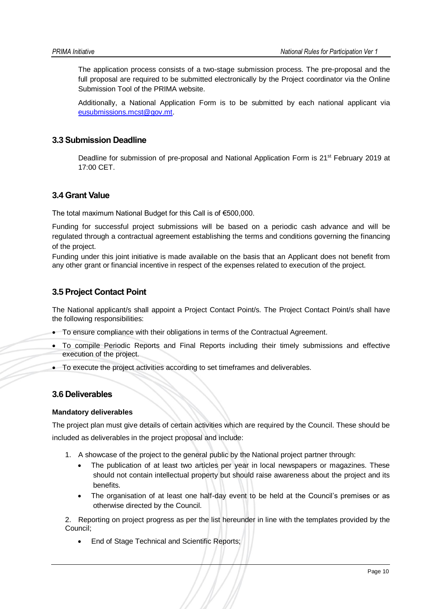The application process consists of a two-stage submission process. The pre-proposal and the full proposal are required to be submitted electronically by the Project coordinator via the Online Submission Tool of the PRIMA website.

Additionally, a National Application Form is to be submitted by each national applicant via [eusubmissions.mcst@gov.mt.](mailto:eusubmissions.mcst@gov.mt)

### <span id="page-10-0"></span>**3.3 Submission Deadline**

Deadline for submission of pre-proposal and National Application Form is 21<sup>st</sup> February 2019 at 17:00 CET.

## <span id="page-10-1"></span>**3.4 Grant Value**

The total maximum National Budget for this Call is of €500,000.

Funding for successful project submissions will be based on a periodic cash advance and will be regulated through a contractual agreement establishing the terms and conditions governing the financing of the project.

Funding under this joint initiative is made available on the basis that an Applicant does not benefit from any other grant or financial incentive in respect of the expenses related to execution of the project.

## <span id="page-10-2"></span>**3.5 Project Contact Point**

The National applicant/s shall appoint a Project Contact Point/s. The Project Contact Point/s shall have the following responsibilities:

- To ensure compliance with their obligations in terms of the Contractual Agreement.
- To compile Periodic Reports and Final Reports including their timely submissions and effective execution of the project.
- <span id="page-10-3"></span>• To execute the project activities according to set timeframes and deliverables.

### **3.6 Deliverables**

#### **Mandatory deliverables**

The project plan must give details of certain activities which are required by the Council. These should be included as deliverables in the project proposal and include:

- 1. A showcase of the project to the general public by the National project partner through:
	- The publication of at least two articles per year in local newspapers or magazines. These should not contain intellectual property but should raise awareness about the project and its benefits.
	- The organisation of at least one half-day event to be held at the Council's premises or as otherwise directed by the Council.

2. Reporting on project progress as per the list hereunder in line with the templates provided by the Council;

• End of Stage Technical and Scientific Reports;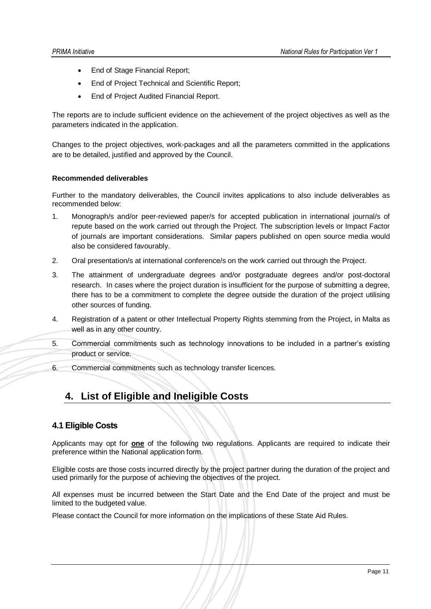- End of Stage Financial Report;
- End of Project Technical and Scientific Report;
- End of Project Audited Financial Report.

The reports are to include sufficient evidence on the achievement of the project objectives as well as the parameters indicated in the application.

Changes to the project objectives, work-packages and all the parameters committed in the applications are to be detailed, justified and approved by the Council.

#### **Recommended deliverables**

Further to the mandatory deliverables, the Council invites applications to also include deliverables as recommended below:

- 1. Monograph/s and/or peer-reviewed paper/s for accepted publication in international journal/s of repute based on the work carried out through the Project. The subscription levels or Impact Factor of journals are important considerations. Similar papers published on open source media would also be considered favourably.
- 2. Oral presentation/s at international conference/s on the work carried out through the Project.
- 3. The attainment of undergraduate degrees and/or postgraduate degrees and/or post-doctoral research. In cases where the project duration is insufficient for the purpose of submitting a degree, there has to be a commitment to complete the degree outside the duration of the project utilising other sources of funding.
- 4. Registration of a patent or other Intellectual Property Rights stemming from the Project, in Malta as well as in any other country.
- 5. Commercial commitments such as technology innovations to be included in a partner's existing product or service.
- 6. Commercial commitments such as technology transfer licences.

## <span id="page-11-0"></span>**4. List of Eligible and Ineligible Costs**

## <span id="page-11-1"></span>**4.1 Eligible Costs**

Applicants may opt for **one** of the following two regulations. Applicants are required to indicate their preference within the National application form.

Eligible costs are those costs incurred directly by the project partner during the duration of the project and used primarily for the purpose of achieving the objectives of the project.

All expenses must be incurred between the Start Date and the End Date of the project and must be limited to the budgeted value.

Please contact the Council for more information on the implications of these State Aid Rules.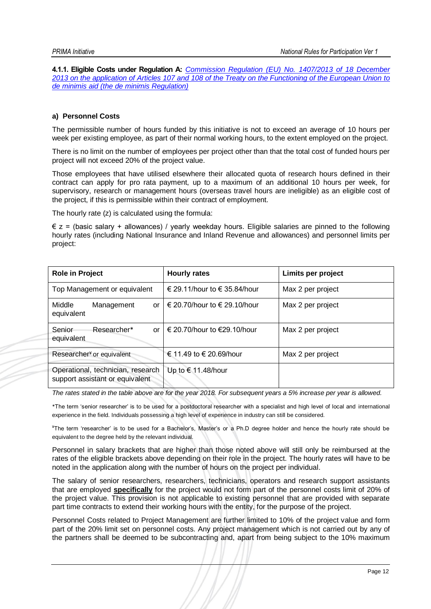**4.1.1. Eligible Costs under Regulation A:** *[Commission Regulation \(EU\) No. 1407/2013 of 18 December](http://ec.europa.eu/competition/state_aid/legislation/de_minimis_regulation_en.pdf)  [2013 on the application of Articles 107 and 108 of the Treaty on the Functioning of the European Union to](http://ec.europa.eu/competition/state_aid/legislation/de_minimis_regulation_en.pdf)  [de minimis aid \(the de minimis Regulation\)](http://ec.europa.eu/competition/state_aid/legislation/de_minimis_regulation_en.pdf)*

#### **a) Personnel Costs**

The permissible number of hours funded by this initiative is not to exceed an average of 10 hours per week per existing employee, as part of their normal working hours, to the extent employed on the project.

There is no limit on the number of employees per project other than that the total cost of funded hours per project will not exceed 20% of the project value.

Those employees that have utilised elsewhere their allocated quota of research hours defined in their contract can apply for pro rata payment, up to a maximum of an additional 10 hours per week, for supervisory, research or management hours (overseas travel hours are ineligible) as an eligible cost of the project, if this is permissible within their contract of employment.

The hourly rate (z) is calculated using the formula:

 $\epsilon$  z = (basic salary + allowances) / yearly weekday hours. Eligible salaries are pinned to the following hourly rates (including National Insurance and Inland Revenue and allowances) and personnel limits per project:

| <b>Role in Project</b>                                               | <b>Hourly rates</b>          | Limits per project |
|----------------------------------------------------------------------|------------------------------|--------------------|
| Top Management or equivalent                                         | € 29.11/hour to € 35.84/hour | Max 2 per project  |
| Middle<br>Management<br><b>or</b><br>equivalent                      | € 20.70/hour to € 29.10/hour | Max 2 per project  |
| Senior<br>Researcher*<br><b>or</b><br>equivalent                     | € 20.70/hour to €29.10/hour  | Max 2 per project  |
| Researcher <sup>¥</sup> or equivalent                                | € 11.49 to € 20.69/hour      | Max 2 per project  |
| Operational, technician, research<br>support assistant or equivalent | Up to € 11.48/hour           |                    |

*The rates stated in the table above are for the year 2018. For subsequent years a 5% increase per year is allowed.* 

\*The term 'senior researcher' is to be used for a postdoctoral researcher with a specialist and high level of local and international experience in the field. Individuals possessing a high level of experience in industry can still be considered.

¥The term 'researcher' is to be used for a Bachelor's, Master's or a Ph.D degree holder and hence the hourly rate should be equivalent to the degree held by the relevant individual.

Personnel in salary brackets that are higher than those noted above will still only be reimbursed at the rates of the eligible brackets above depending on their role in the project. The hourly rates will have to be noted in the application along with the number of hours on the project per individual.

The salary of senior researchers, researchers, technicians, operators and research support assistants that are employed **specifically** for the project would not form part of the personnel costs limit of 20% of the project value. This provision is not applicable to existing personnel that are provided with separate part time contracts to extend their working hours with the entity, for the purpose of the project.

Personnel Costs related to Project Management are further limited to 10% of the project value and form part of the 20% limit set on personnel costs. Any project management which is not carried out by any of the partners shall be deemed to be subcontracting and, apart from being subject to the 10% maximum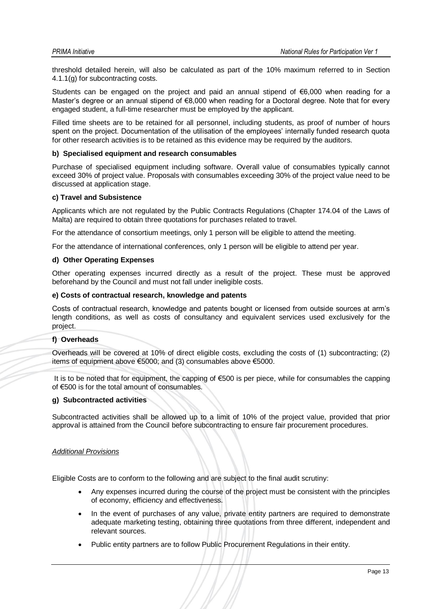threshold detailed herein, will also be calculated as part of the 10% maximum referred to in Section 4.1.1(g) for subcontracting costs.

Students can be engaged on the project and paid an annual stipend of  $6,000$  when reading for a Master's degree or an annual stipend of €8,000 when reading for a Doctoral degree. Note that for every engaged student, a full-time researcher must be employed by the applicant.

Filled time sheets are to be retained for all personnel, including students, as proof of number of hours spent on the project. Documentation of the utilisation of the employees' internally funded research quota for other research activities is to be retained as this evidence may be required by the auditors.

#### **b) Specialised equipment and research consumables**

Purchase of specialised equipment including software. Overall value of consumables typically cannot exceed 30% of project value. Proposals with consumables exceeding 30% of the project value need to be discussed at application stage.

#### **c) Travel and Subsistence**

Applicants which are not regulated by the Public Contracts Regulations (Chapter 174.04 of the Laws of Malta) are required to obtain three quotations for purchases related to travel.

For the attendance of consortium meetings, only 1 person will be eligible to attend the meeting.

For the attendance of international conferences, only 1 person will be eligible to attend per year.

#### **d) Other Operating Expenses**

Other operating expenses incurred directly as a result of the project. These must be approved beforehand by the Council and must not fall under ineligible costs.

#### **e) Costs of contractual research, knowledge and patents**

Costs of contractual research, knowledge and patents bought or licensed from outside sources at arm's length conditions, as well as costs of consultancy and equivalent services used exclusively for the project.

#### **f) Overheads**

Overheads will be covered at 10% of direct eligible costs, excluding the costs of (1) subcontracting; (2) items of equipment above €5000; and (3) consumables above €5000.

It is to be noted that for equipment, the capping of €500 is per piece, while for consumables the capping of €500 is for the total amount of consumables.

#### **g) Subcontracted activities**

Subcontracted activities shall be allowed up to a limit of 10% of the project value, provided that prior approval is attained from the Council before subcontracting to ensure fair procurement procedures.

#### *Additional Provisions*

Eligible Costs are to conform to the following and are subject to the final audit scrutiny:

- Any expenses incurred during the course of the project must be consistent with the principles of economy, efficiency and effectiveness.
- In the event of purchases of any value, private entity partners are required to demonstrate adequate marketing testing, obtaining three quotations from three different, independent and relevant sources.
- Public entity partners are to follow Public Procurement Regulations in their entity.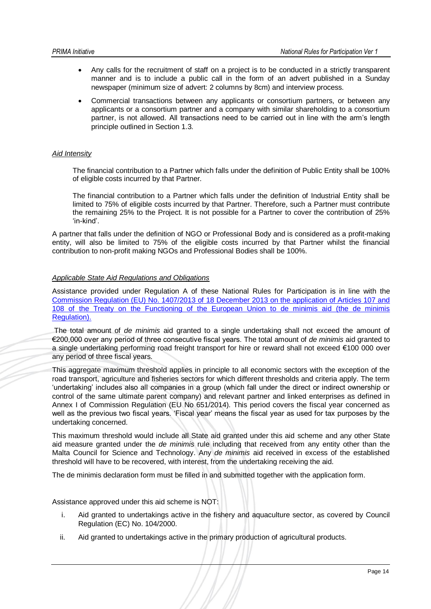- Any calls for the recruitment of staff on a project is to be conducted in a strictly transparent manner and is to include a public call in the form of an advert published in a Sunday newspaper (minimum size of advert: 2 columns by 8cm) and interview process.
- Commercial transactions between any applicants or consortium partners, or between any applicants or a consortium partner and a company with similar shareholding to a consortium partner, is not allowed. All transactions need to be carried out in line with the arm's length principle outlined in Section 1.3.

#### *Aid Intensity*

The financial contribution to a Partner which falls under the definition of Public Entity shall be 100% of eligible costs incurred by that Partner.

The financial contribution to a Partner which falls under the definition of Industrial Entity shall be limited to 75% of eligible costs incurred by that Partner. Therefore, such a Partner must contribute the remaining 25% to the Project. It is not possible for a Partner to cover the contribution of 25% 'in-kind'.

A partner that falls under the definition of NGO or Professional Body and is considered as a profit-making entity, will also be limited to 75% of the eligible costs incurred by that Partner whilst the financial contribution to non-profit making NGOs and Professional Bodies shall be 100%.

#### *Applicable State Aid Regulations and Obligations*

Assistance provided under Regulation A of these National Rules for Participation is in line with the [Commission Regulation \(EU\) No. 1407/2013 of 18 December 2013 on the application of Articles 107 and](http://ec.europa.eu/competition/state_aid/legislation/de_minimis_regulation_en.pdf)  [108 of the Treaty on the Functioning of the European Union to de minimis aid \(the de minimis](http://ec.europa.eu/competition/state_aid/legislation/de_minimis_regulation_en.pdf)  [Regulation\).](http://ec.europa.eu/competition/state_aid/legislation/de_minimis_regulation_en.pdf)

The total amount of *de minimis* aid granted to a single undertaking shall not exceed the amount of €200,000 over any period of three consecutive fiscal years. The total amount of *de minimis* aid granted to a single undertaking performing road freight transport for hire or reward shall not exceed €100 000 over any period of three fiscal years.

This aggregate maximum threshold applies in principle to all economic sectors with the exception of the road transport, agriculture and fisheries sectors for which different thresholds and criteria apply. The term 'undertaking' includes also all companies in a group (which fall under the direct or indirect ownership or control of the same ultimate parent company) and relevant partner and linked enterprises as defined in Annex I of Commission Regulation (EU No 651/2014). This period covers the fiscal year concerned as well as the previous two fiscal years. 'Fiscal year' means the fiscal year as used for tax purposes by the undertaking concerned.

This maximum threshold would include all State aid granted under this aid scheme and any other State aid measure granted under the *de minimis* rule including that received from any entity other than the Malta Council for Science and Technology. Any *de minimis* aid received in excess of the established threshold will have to be recovered, with interest, from the undertaking receiving the aid.

The de minimis declaration form must be filled in and submitted together with the application form.

Assistance approved under this aid scheme is NOT:

- i. Aid granted to undertakings active in the fishery and aquaculture sector, as covered by Council Regulation (EC) No. 104/2000.
- ii. Aid granted to undertakings active in the primary production of agricultural products.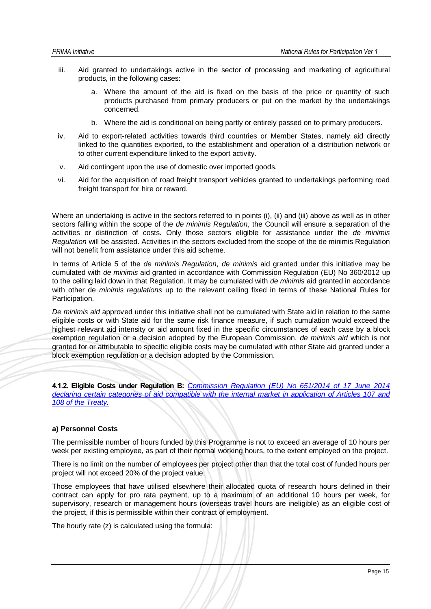- iii. Aid granted to undertakings active in the sector of processing and marketing of agricultural products, in the following cases:
	- a. Where the amount of the aid is fixed on the basis of the price or quantity of such products purchased from primary producers or put on the market by the undertakings concerned.
	- b. Where the aid is conditional on being partly or entirely passed on to primary producers.
- iv. Aid to export-related activities towards third countries or Member States, namely aid directly linked to the quantities exported, to the establishment and operation of a distribution network or to other current expenditure linked to the export activity.
- v. Aid contingent upon the use of domestic over imported goods.
- vi. Aid for the acquisition of road freight transport vehicles granted to undertakings performing road freight transport for hire or reward.

Where an undertaking is active in the sectors referred to in points (i), (ii) and (iii) above as well as in other sectors falling within the scope of the *de minimis Regulation*, the Council will ensure a separation of the activities or distinction of costs. Only those sectors eligible for assistance under the *de minimis Regulation* will be assisted. Activities in the sectors excluded from the scope of the de minimis Regulation will not benefit from assistance under this aid scheme.

In terms of Article 5 of the *de minimis Regulation*, *de minimis* aid granted under this initiative may be cumulated with *de minimis* aid granted in accordance with Commission Regulation (EU) No 360/2012 up to the ceiling laid down in that Regulation. It may be cumulated with *de minimis* aid granted in accordance with other de *minimis regulations* up to the relevant ceiling fixed in terms of these National Rules for Participation.

*De minimis aid* approved under this initiative shall not be cumulated with State aid in relation to the same eligible costs or with State aid for the same risk finance measure, if such cumulation would exceed the highest relevant aid intensity or aid amount fixed in the specific circumstances of each case by a block exemption regulation or a decision adopted by the European Commission. *de minimis aid* which is not granted for or attributable to specific eligible costs may be cumulated with other State aid granted under a block exemption regulation or a decision adopted by the Commission.

**4.1.2. Eligible Costs under Regulation B:** *[Commission Regulation \(EU\) No 651/2014 of 17 June 2014](https://eur-lex.europa.eu/legal-content/EN/TXT/PDF/?uri=CELEX:32014R0651&from=EN)  [declaring certain categories of aid compatible with the internal market in application of Articles 107 and](https://eur-lex.europa.eu/legal-content/EN/TXT/PDF/?uri=CELEX:32014R0651&from=EN)  [108 of the Treaty.](https://eur-lex.europa.eu/legal-content/EN/TXT/PDF/?uri=CELEX:32014R0651&from=EN)*

#### **a) Personnel Costs**

The permissible number of hours funded by this Programme is not to exceed an average of 10 hours per week per existing employee, as part of their normal working hours, to the extent employed on the project.

There is no limit on the number of employees per project other than that the total cost of funded hours per project will not exceed 20% of the project value.

Those employees that have utilised elsewhere their allocated quota of research hours defined in their contract can apply for pro rata payment, up to a maximum of an additional 10 hours per week, for supervisory, research or management hours (overseas travel hours are ineligible) as an eligible cost of the project, if this is permissible within their contract of employment.

The hourly rate (z) is calculated using the formula: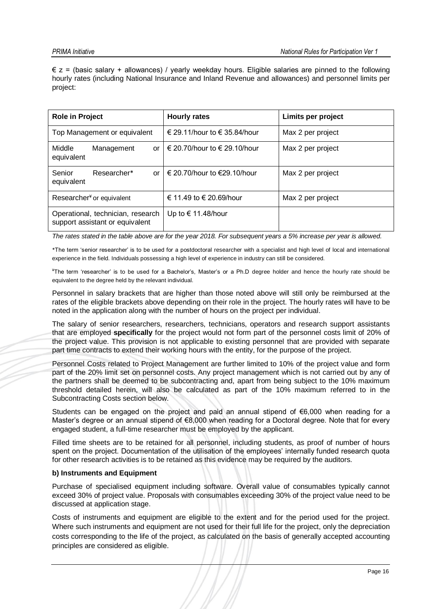$\epsilon$  z = (basic salary + allowances) / yearly weekday hours. Eligible salaries are pinned to the following hourly rates (including National Insurance and Inland Revenue and allowances) and personnel limits per project:

| <b>Role in Project</b> |                                                                      | <b>Hourly rates</b>          | Limits per project |
|------------------------|----------------------------------------------------------------------|------------------------------|--------------------|
|                        | Top Management or equivalent                                         | € 29.11/hour to € 35.84/hour | Max 2 per project  |
| Middle<br>equivalent   | Management<br>or                                                     | € 20.70/hour to € 29.10/hour | Max 2 per project  |
| Senior<br>equivalent   | Researcher*<br>or                                                    | € 20.70/hour to €29.10/hour  | Max 2 per project  |
|                        | Researcher <sup>¥</sup> or equivalent                                | € 11.49 to € 20.69/hour      | Max 2 per project  |
|                        | Operational, technician, research<br>support assistant or equivalent | Up to € 11.48/hour           |                    |

*The rates stated in the table above are for the year 2018. For subsequent years a 5% increase per year is allowed.* 

\*The term 'senior researcher' is to be used for a postdoctoral researcher with a specialist and high level of local and international experience in the field. Individuals possessing a high level of experience in industry can still be considered.

¥The term 'researcher' is to be used for a Bachelor's, Master's or a Ph.D degree holder and hence the hourly rate should be equivalent to the degree held by the relevant individual.

Personnel in salary brackets that are higher than those noted above will still only be reimbursed at the rates of the eligible brackets above depending on their role in the project. The hourly rates will have to be noted in the application along with the number of hours on the project per individual.

The salary of senior researchers, researchers, technicians, operators and research support assistants that are employed **specifically** for the project would not form part of the personnel costs limit of 20% of the project value. This provision is not applicable to existing personnel that are provided with separate part time contracts to extend their working hours with the entity, for the purpose of the project.

Personnel Costs related to Project Management are further limited to 10% of the project value and form part of the 20% limit set on personnel costs. Any project management which is not carried out by any of the partners shall be deemed to be subcontracting and, apart from being subject to the 10% maximum threshold detailed herein, will also be calculated as part of the 10% maximum referred to in the Subcontracting Costs section below.

Students can be engaged on the project and paid an annual stipend of  $6,000$  when reading for a Master's degree or an annual stipend of €8,000 when reading for a Doctoral degree. Note that for every engaged student, a full-time researcher must be employed by the applicant.

Filled time sheets are to be retained for all personnel, including students, as proof of number of hours spent on the project. Documentation of the utilisation of the employees' internally funded research quota for other research activities is to be retained as this evidence may be required by the auditors.

#### **b) Instruments and Equipment**

Purchase of specialised equipment including software. Overall value of consumables typically cannot exceed 30% of project value. Proposals with consumables exceeding 30% of the project value need to be discussed at application stage.

Costs of instruments and equipment are eligible to the extent and for the period used for the project. Where such instruments and equipment are not used for their full life for the project, only the depreciation costs corresponding to the life of the project, as calculated on the basis of generally accepted accounting principles are considered as eligible.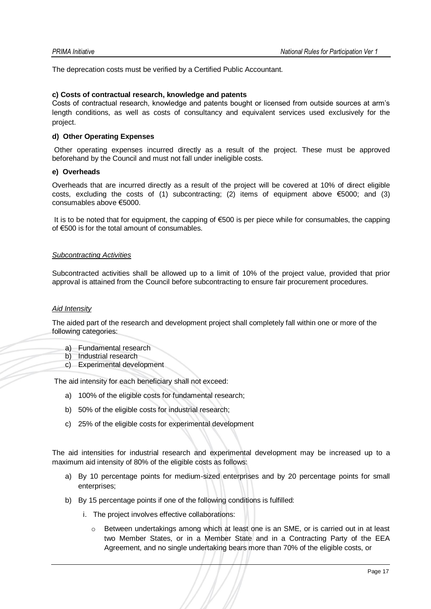The deprecation costs must be verified by a Certified Public Accountant.

#### **c) Costs of contractual research, knowledge and patents**

Costs of contractual research, knowledge and patents bought or licensed from outside sources at arm's length conditions, as well as costs of consultancy and equivalent services used exclusively for the project.

#### **d) Other Operating Expenses**

Other operating expenses incurred directly as a result of the project. These must be approved beforehand by the Council and must not fall under ineligible costs.

#### **e) Overheads**

Overheads that are incurred directly as a result of the project will be covered at 10% of direct eligible costs, excluding the costs of (1) subcontracting; (2) items of equipment above  $\epsilon$ 5000; and (3) consumables above €5000.

It is to be noted that for equipment, the capping of €500 is per piece while for consumables, the capping of €500 is for the total amount of consumables.

#### *Subcontracting Activities*

Subcontracted activities shall be allowed up to a limit of 10% of the project value, provided that prior approval is attained from the Council before subcontracting to ensure fair procurement procedures.

#### *Aid Intensity*

The aided part of the research and development project shall completely fall within one or more of the following categories:

- a) Fundamental research
- b) Industrial research
- c) Experimental development

The aid intensity for each beneficiary shall not exceed:

- a) 100% of the eligible costs for fundamental research;
- b) 50% of the eligible costs for industrial research;
- c) 25% of the eligible costs for experimental development

The aid intensities for industrial research and experimental development may be increased up to a maximum aid intensity of 80% of the eligible costs as follows:

- a) By 10 percentage points for medium-sized enterprises and by 20 percentage points for small enterprises;
- b) By 15 percentage points if one of the following conditions is fulfilled:
	- i. The project involves effective collaborations:
		- o Between undertakings among which at least one is an SME, or is carried out in at least two Member States, or in a Member State and in a Contracting Party of the EEA Agreement, and no single undertaking bears more than 70% of the eligible costs, or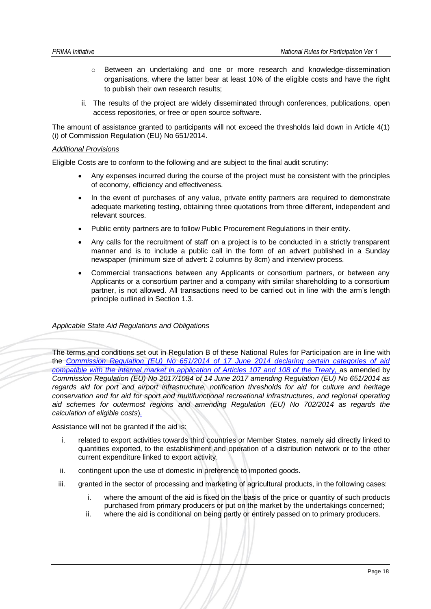- o Between an undertaking and one or more research and knowledge-dissemination organisations, where the latter bear at least 10% of the eligible costs and have the right to publish their own research results;
- ii. The results of the project are widely disseminated through conferences, publications, open access repositories, or free or open source software.

The amount of assistance granted to participants will not exceed the thresholds laid down in Article 4(1) (i) of Commission Regulation (EU) No 651/2014.

#### *Additional Provisions*

Eligible Costs are to conform to the following and are subject to the final audit scrutiny:

- Any expenses incurred during the course of the project must be consistent with the principles of economy, efficiency and effectiveness.
- In the event of purchases of any value, private entity partners are required to demonstrate adequate marketing testing, obtaining three quotations from three different, independent and relevant sources.
- Public entity partners are to follow Public Procurement Regulations in their entity.
- Any calls for the recruitment of staff on a project is to be conducted in a strictly transparent manner and is to include a public call in the form of an advert published in a Sunday newspaper (minimum size of advert: 2 columns by 8cm) and interview process.
- Commercial transactions between any Applicants or consortium partners, or between any Applicants or a consortium partner and a company with similar shareholding to a consortium partner, is not allowed. All transactions need to be carried out in line with the arm's length principle outlined in Section 1.3.

#### *Applicable State Aid Regulations and Obligations*

The terms and conditions set out in Regulation B of these National Rules for Participation are in line with the *[Commission Regulation \(EU\) No 651/2014 of 17 June 2014 declaring certain categories of aid](https://eur-lex.europa.eu/legal-content/EN/TXT/PDF/?uri=CELEX:32014R0651&from=EN)  [compatible with the internal market in application of Articles 107 and 108 of the Treaty,](https://eur-lex.europa.eu/legal-content/EN/TXT/PDF/?uri=CELEX:32014R0651&from=EN) as amended by [Commission Regulation \(EU\) No 2017/1084 of 14 June 2017 amending Regulation \(EU\) No 651/2014 as](https://eur-lex.europa.eu/legal-content/EN/TXT/PDF/?uri=CELEX:32014R0651&from=EN)  [regards aid for port and airport infrastructure, notification thresholds for aid for culture and heritage](https://eur-lex.europa.eu/legal-content/EN/TXT/PDF/?uri=CELEX:32014R0651&from=EN)  [conservation and for aid for sport and multifunctional recreational infrastructures, and regional operating](https://eur-lex.europa.eu/legal-content/EN/TXT/PDF/?uri=CELEX:32014R0651&from=EN)  [aid schemes for outermost regions and amending Regulation \(EU\) No 702/2014 as regards the](https://eur-lex.europa.eu/legal-content/EN/TXT/PDF/?uri=CELEX:32014R0651&from=EN)  [calculation of eligible costs](https://eur-lex.europa.eu/legal-content/EN/TXT/PDF/?uri=CELEX:32014R0651&from=EN)*)*.*

Assistance will not be granted if the aid is:

- i. related to export activities towards third countries or Member States, namely aid directly linked to quantities exported, to the establishment and operation of a distribution network or to the other current expenditure linked to export activity.
- ii. contingent upon the use of domestic in preference to imported goods.
- iii. granted in the sector of processing and marketing of agricultural products, in the following cases:
	- i. where the amount of the aid is fixed on the basis of the price or quantity of such products purchased from primary producers or put on the market by the undertakings concerned;
	- ii. where the aid is conditional on being partly or entirely passed on to primary producers.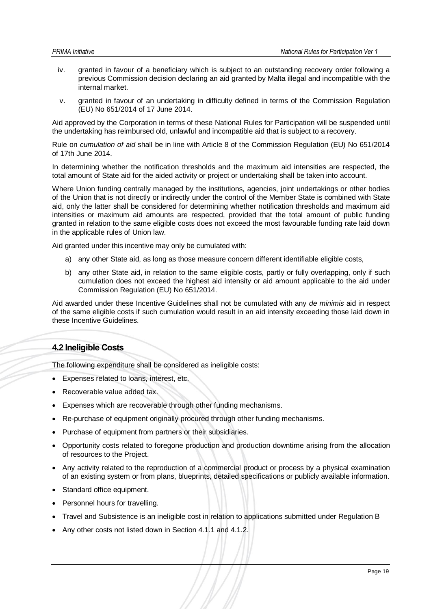- iv. granted in favour of a beneficiary which is subject to an outstanding recovery order following a previous Commission decision declaring an aid granted by Malta illegal and incompatible with the internal market.
- v. granted in favour of an undertaking in difficulty defined in terms of the Commission Regulation (EU) No 651/2014 of 17 June 2014.

Aid approved by the Corporation in terms of these National Rules for Participation will be suspended until the undertaking has reimbursed old, unlawful and incompatible aid that is subject to a recovery.

Rule on *cumulation of aid* shall be in line with Article 8 of the Commission Regulation (EU) No 651/2014 of 17th June 2014.

In determining whether the notification thresholds and the maximum aid intensities are respected, the total amount of State aid for the aided activity or project or undertaking shall be taken into account.

Where Union funding centrally managed by the institutions, agencies, joint undertakings or other bodies of the Union that is not directly or indirectly under the control of the Member State is combined with State aid, only the latter shall be considered for determining whether notification thresholds and maximum aid intensities or maximum aid amounts are respected, provided that the total amount of public funding granted in relation to the same eligible costs does not exceed the most favourable funding rate laid down in the applicable rules of Union law.

Aid granted under this incentive may only be cumulated with:

- a) any other State aid, as long as those measure concern different identifiable eligible costs,
- b) any other State aid, in relation to the same eligible costs, partly or fully overlapping, only if such cumulation does not exceed the highest aid intensity or aid amount applicable to the aid under Commission Regulation (EU) No 651/2014.

Aid awarded under these Incentive Guidelines shall not be cumulated with any *de minimis* aid in respect of the same eligible costs if such cumulation would result in an aid intensity exceeding those laid down in these Incentive Guidelines.

#### <span id="page-19-0"></span>**4.2 Ineligible Costs**

The following expenditure shall be considered as ineligible costs:

- Expenses related to loans, interest, etc.
- Recoverable value added tax.
- Expenses which are recoverable through other funding mechanisms.
- Re-purchase of equipment originally procured through other funding mechanisms.
- Purchase of equipment from partners or their subsidiaries.
- Opportunity costs related to foregone production and production downtime arising from the allocation of resources to the Project.
- Any activity related to the reproduction of a commercial product or process by a physical examination of an existing system or from plans, blueprints, detailed specifications or publicly available information.
- Standard office equipment.
- Personnel hours for travelling.
- Travel and Subsistence is an ineligible cost in relation to applications submitted under Regulation B
- Any other costs not listed down in Section 4.1.1 and 4.1.2.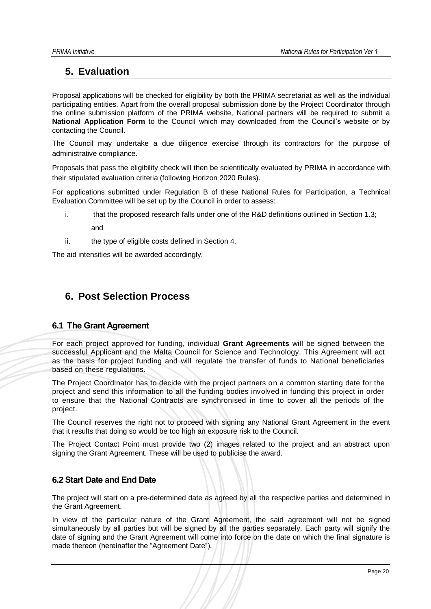## <span id="page-20-0"></span>**5. Evaluation**

Proposal applications will be checked for eligibility by both the PRIMA secretariat as well as the individual participating entities. Apart from the overall proposal submission done by the Project Coordinator through the online submission platform of the PRIMA website, National partners will be required to submit a **National Application Form** to the Council which may downloaded from the Council's website or by contacting the Council.

The Council may undertake a due diligence exercise through its contractors for the purpose of administrative compliance.

Proposals that pass the eligibility check will then be scientifically evaluated by PRIMA in accordance with their stipulated evaluation criteria (following Horizon 2020 Rules).

For applications submitted under Regulation B of these National Rules for Participation, a Technical Evaluation Committee will be set up by the Council in order to assess:

- i. that the proposed research falls under one of the R&D definitions outlined in Section 1.3; and
- ii. the type of eligible costs defined in Section 4.

The aid intensities will be awarded accordingly.

## <span id="page-20-1"></span>**6. Post Selection Process**

## <span id="page-20-2"></span>**6.1 The Grant Agreement**

For each project approved for funding, individual **Grant Agreements** will be signed between the successful Applicant and the Malta Council for Science and Technology. This Agreement will act as the basis for project funding and will regulate the transfer of funds to National beneficiaries based on these regulations.

The Project Coordinator has to decide with the project partners on a common starting date for the project and send this information to all the funding bodies involved in funding this project in order to ensure that the National Contracts are synchronised in time to cover all the periods of the project.

The Council reserves the right not to proceed with signing any National Grant Agreement in the event that it results that doing so would be too high an exposure risk to the Council.

The Project Contact Point must provide two (2) images related to the project and an abstract upon signing the Grant Agreement. These will be used to publicise the award.

## <span id="page-20-3"></span>**6.2 Start Date and End Date**

The project will start on a pre-determined date as agreed by all the respective parties and determined in the Grant Agreement.

In view of the particular nature of the Grant Agreement, the said agreement will not be signed simultaneously by all parties but will be signed by all the parties separately. Each party will signify the date of signing and the Grant Agreement will come into force on the date on which the final signature is made thereon (hereinafter the "Agreement Date").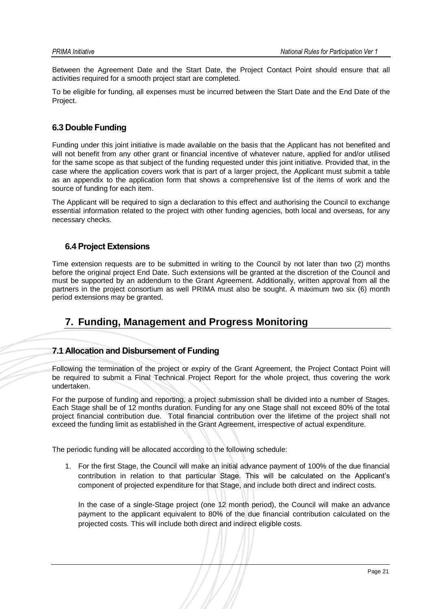Between the Agreement Date and the Start Date, the Project Contact Point should ensure that all activities required for a smooth project start are completed.

To be eligible for funding, all expenses must be incurred between the Start Date and the End Date of the Project.

### <span id="page-21-0"></span>**6.3 Double Funding**

Funding under this joint initiative is made available on the basis that the Applicant has not benefited and will not benefit from any other grant or financial incentive of whatever nature, applied for and/or utilised for the same scope as that subject of the funding requested under this joint initiative. Provided that, in the case where the application covers work that is part of a larger project, the Applicant must submit a table as an appendix to the application form that shows a comprehensive list of the items of work and the source of funding for each item.

The Applicant will be required to sign a declaration to this effect and authorising the Council to exchange essential information related to the project with other funding agencies, both local and overseas, for any necessary checks.

### **6.4 Project Extensions**

Time extension requests are to be submitted in writing to the Council by not later than two (2) months before the original project End Date. Such extensions will be granted at the discretion of the Council and must be supported by an addendum to the Grant Agreement. Additionally, written approval from all the partners in the project consortium as well PRIMA must also be sought. A maximum two six (6) month period extensions may be granted.

## <span id="page-21-1"></span>**7. Funding, Management and Progress Monitoring**

#### <span id="page-21-2"></span>**7.1 Allocation and Disbursement of Funding**

Following the termination of the project or expiry of the Grant Agreement, the Project Contact Point will be required to submit a Final Technical Project Report for the whole project, thus covering the work undertaken.

For the purpose of funding and reporting, a project submission shall be divided into a number of Stages. Each Stage shall be of 12 months duration. Funding for any one Stage shall not exceed 80% of the total project financial contribution due. Total financial contribution over the lifetime of the project shall not exceed the funding limit as established in the Grant Agreement, irrespective of actual expenditure.

The periodic funding will be allocated according to the following schedule:

1. For the first Stage, the Council will make an initial advance payment of 100% of the due financial contribution in relation to that particular Stage. This will be calculated on the Applicant's component of projected expenditure for that Stage, and include both direct and indirect costs.

In the case of a single-Stage project (one 12 month period), the Council will make an advance payment to the applicant equivalent to 80% of the due financial contribution calculated on the projected costs. This will include both direct and indirect eligible costs.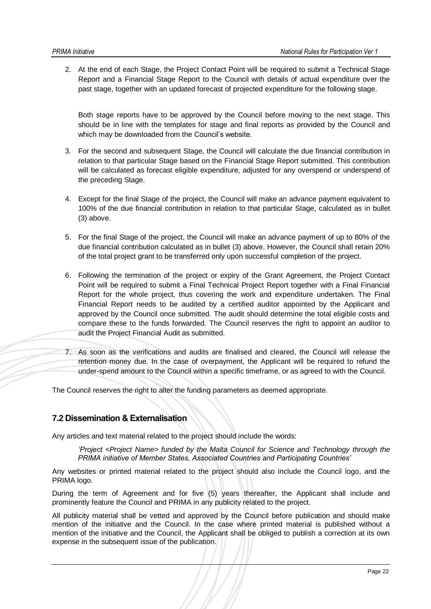2. At the end of each Stage, the Project Contact Point will be required to submit a Technical Stage Report and a Financial Stage Report to the Council with details of actual expenditure over the past stage, together with an updated forecast of projected expenditure for the following stage.

Both stage reports have to be approved by the Council before moving to the next stage. This should be in line with the templates for stage and final reports as provided by the Council and which may be downloaded from the Council's website.

- 3. For the second and subsequent Stage, the Council will calculate the due financial contribution in relation to that particular Stage based on the Financial Stage Report submitted. This contribution will be calculated as forecast eligible expenditure, adjusted for any overspend or underspend of the preceding Stage.
- 4. Except for the final Stage of the project, the Council will make an advance payment equivalent to 100% of the due financial contribution in relation to that particular Stage, calculated as in bullet (3) above.
- 5. For the final Stage of the project, the Council will make an advance payment of up to 80% of the due financial contribution calculated as in bullet (3) above. However, the Council shall retain 20% of the total project grant to be transferred only upon successful completion of the project.
- 6. Following the termination of the project or expiry of the Grant Agreement, the Project Contact Point will be required to submit a Final Technical Project Report together with a Final Financial Report for the whole project, thus covering the work and expenditure undertaken. The Final Financial Report needs to be audited by a certified auditor appointed by the Applicant and approved by the Council once submitted. The audit should determine the total eligible costs and compare these to the funds forwarded. The Council reserves the right to appoint an auditor to audit the Project Financial Audit as submitted.
- 7. As soon as the verifications and audits are finalised and cleared, the Council will release the retention money due. In the case of overpayment, the Applicant will be required to refund the under-spend amount to the Council within a specific timeframe, or as agreed to with the Council.

The Council reserves the right to alter the funding parameters as deemed appropriate.

## <span id="page-22-0"></span>**7.2 Dissemination & Externalisation**

Any articles and text material related to the project should include the words:

*'Project <Project Name> funded by the Malta Council for Science and Technology through the PRIMA initiative of Member States, Associated Countries and Participating Countries'*

Any websites or printed material related to the project should also include the Council logo, and the PRIMA logo.

During the term of Agreement and for five (5) years thereafter, the Applicant shall include and prominently feature the Council and PRIMA in any publicity related to the project.

All publicity material shall be vetted and approved by the Council before publication and should make mention of the initiative and the Council. In the case where printed material is published without a mention of the initiative and the Council, the Applicant shall be obliged to publish a correction at its own expense in the subsequent issue of the publication.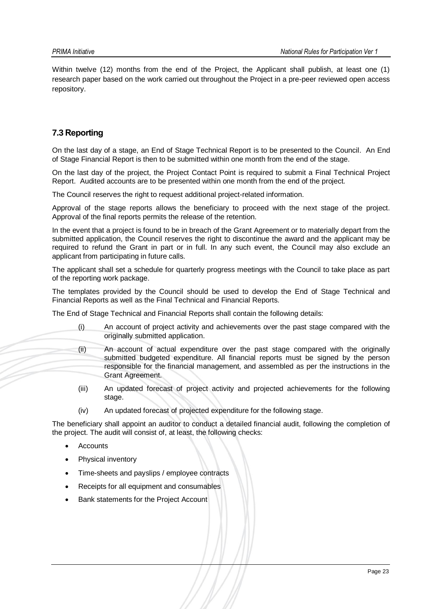Within twelve (12) months from the end of the Project, the Applicant shall publish, at least one (1) research paper based on the work carried out throughout the Project in a pre-peer reviewed open access repository.

## <span id="page-23-0"></span>**7.3 Reporting**

On the last day of a stage, an End of Stage Technical Report is to be presented to the Council. An End of Stage Financial Report is then to be submitted within one month from the end of the stage.

On the last day of the project, the Project Contact Point is required to submit a Final Technical Project Report. Audited accounts are to be presented within one month from the end of the project.

The Council reserves the right to request additional project-related information.

Approval of the stage reports allows the beneficiary to proceed with the next stage of the project. Approval of the final reports permits the release of the retention.

In the event that a project is found to be in breach of the Grant Agreement or to materially depart from the submitted application, the Council reserves the right to discontinue the award and the applicant may be required to refund the Grant in part or in full. In any such event, the Council may also exclude an applicant from participating in future calls.

The applicant shall set a schedule for quarterly progress meetings with the Council to take place as part of the reporting work package.

The templates provided by the Council should be used to develop the End of Stage Technical and Financial Reports as well as the Final Technical and Financial Reports.

The End of Stage Technical and Financial Reports shall contain the following details:

- (i) An account of project activity and achievements over the past stage compared with the originally submitted application.
- (ii) An account of actual expenditure over the past stage compared with the originally submitted budgeted expenditure. All financial reports must be signed by the person responsible for the financial management, and assembled as per the instructions in the Grant Agreement.
- (iii) An updated forecast of project activity and projected achievements for the following stage.
- (iv) An updated forecast of projected expenditure for the following stage.

The beneficiary shall appoint an auditor to conduct a detailed financial audit, following the completion of the project. The audit will consist of, at least, the following checks:

- **Accounts**
- Physical inventory
- Time-sheets and payslips / employee contracts
- Receipts for all equipment and consumables
- Bank statements for the Project Account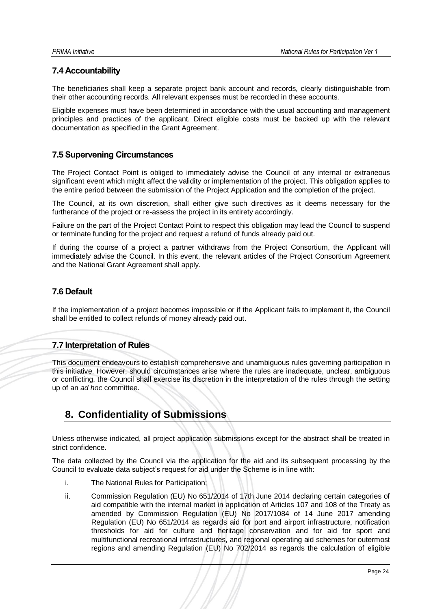## <span id="page-24-0"></span>**7.4 Accountability**

The beneficiaries shall keep a separate project bank account and records, clearly distinguishable from their other accounting records. All relevant expenses must be recorded in these accounts.

Eligible expenses must have been determined in accordance with the usual accounting and management principles and practices of the applicant. Direct eligible costs must be backed up with the relevant documentation as specified in the Grant Agreement.

## <span id="page-24-1"></span>**7.5 Supervening Circumstances**

The Project Contact Point is obliged to immediately advise the Council of any internal or extraneous significant event which might affect the validity or implementation of the project. This obligation applies to the entire period between the submission of the Project Application and the completion of the project.

The Council, at its own discretion, shall either give such directives as it deems necessary for the furtherance of the project or re-assess the project in its entirety accordingly.

Failure on the part of the Project Contact Point to respect this obligation may lead the Council to suspend or terminate funding for the project and request a refund of funds already paid out.

If during the course of a project a partner withdraws from the Project Consortium, the Applicant will immediately advise the Council. In this event, the relevant articles of the Project Consortium Agreement and the National Grant Agreement shall apply.

## <span id="page-24-2"></span>**7.6 Default**

If the implementation of a project becomes impossible or if the Applicant fails to implement it, the Council shall be entitled to collect refunds of money already paid out.

## <span id="page-24-3"></span>**7.7 Interpretation of Rules**

This document endeavours to establish comprehensive and unambiguous rules governing participation in this initiative. However, should circumstances arise where the rules are inadequate, unclear, ambiguous or conflicting, the Council shall exercise its discretion in the interpretation of the rules through the setting up of an *ad hoc* committee.

## <span id="page-24-4"></span>**8. Confidentiality of Submissions**

Unless otherwise indicated, all project application submissions except for the abstract shall be treated in strict confidence.

The data collected by the Council via the application for the aid and its subsequent processing by the Council to evaluate data subject's request for aid under the Scheme is in line with:

- i. The National Rules for Participation;
- ii. Commission Regulation (EU) No 651/2014 of 17th June 2014 declaring certain categories of aid compatible with the internal market in application of Articles 107 and 108 of the Treaty as amended by Commission Regulation (EU) No 2017/1084 of 14 June 2017 amending Regulation (EU) No 651/2014 as regards aid for port and airport infrastructure, notification thresholds for aid for culture and heritage conservation and for aid for sport and multifunctional recreational infrastructures, and regional operating aid schemes for outermost regions and amending Regulation (EU) No 702/2014 as regards the calculation of eligible